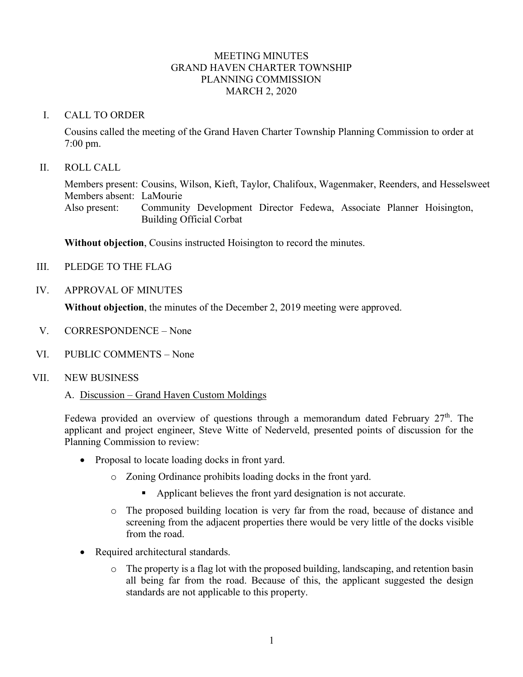## MEETING MINUTES GRAND HAVEN CHARTER TOWNSHIP PLANNING COMMISSION MARCH 2, 2020

### I. CALL TO ORDER

Cousins called the meeting of the Grand Haven Charter Township Planning Commission to order at 7:00 pm.

## II. ROLL CALL

Members present: Cousins, Wilson, Kieft, Taylor, Chalifoux, Wagenmaker, Reenders, and Hesselsweet Members absent: LaMourie Also present: Community Development Director Fedewa, Associate Planner Hoisington, Building Official Corbat

**Without objection**, Cousins instructed Hoisington to record the minutes.

- III. PLEDGE TO THE FLAG
- IV. APPROVAL OF MINUTES

**Without objection**, the minutes of the December 2, 2019 meeting were approved.

- V. CORRESPONDENCE None
- VI. PUBLIC COMMENTS None
- VII. NEW BUSINESS

#### A. Discussion – Grand Haven Custom Moldings

Fedewa provided an overview of questions through a memorandum dated February  $27<sup>th</sup>$ . The applicant and project engineer, Steve Witte of Nederveld, presented points of discussion for the Planning Commission to review:

- Proposal to locate loading docks in front yard.
	- o Zoning Ordinance prohibits loading docks in the front yard.
		- Applicant believes the front yard designation is not accurate.
	- o The proposed building location is very far from the road, because of distance and screening from the adjacent properties there would be very little of the docks visible from the road.
- Required architectural standards.
	- o The property is a flag lot with the proposed building, landscaping, and retention basin all being far from the road. Because of this, the applicant suggested the design standards are not applicable to this property.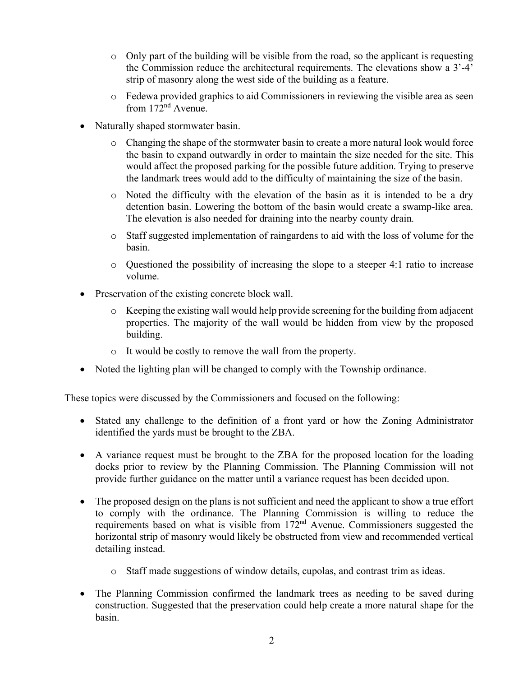- o Only part of the building will be visible from the road, so the applicant is requesting the Commission reduce the architectural requirements. The elevations show a 3'-4' strip of masonry along the west side of the building as a feature.
- o Fedewa provided graphics to aid Commissioners in reviewing the visible area as seen from 172nd Avenue.
- Naturally shaped stormwater basin.
	- o Changing the shape of the stormwater basin to create a more natural look would force the basin to expand outwardly in order to maintain the size needed for the site. This would affect the proposed parking for the possible future addition. Trying to preserve the landmark trees would add to the difficulty of maintaining the size of the basin.
	- o Noted the difficulty with the elevation of the basin as it is intended to be a dry detention basin. Lowering the bottom of the basin would create a swamp-like area. The elevation is also needed for draining into the nearby county drain.
	- o Staff suggested implementation of raingardens to aid with the loss of volume for the basin.
	- o Questioned the possibility of increasing the slope to a steeper 4:1 ratio to increase volume.
- Preservation of the existing concrete block wall.
	- $\circ$  Keeping the existing wall would help provide screening for the building from adjacent properties. The majority of the wall would be hidden from view by the proposed building.
	- o It would be costly to remove the wall from the property.
- Noted the lighting plan will be changed to comply with the Township ordinance.

These topics were discussed by the Commissioners and focused on the following:

- Stated any challenge to the definition of a front yard or how the Zoning Administrator identified the yards must be brought to the ZBA.
- A variance request must be brought to the ZBA for the proposed location for the loading docks prior to review by the Planning Commission. The Planning Commission will not provide further guidance on the matter until a variance request has been decided upon.
- The proposed design on the plans is not sufficient and need the applicant to show a true effort to comply with the ordinance. The Planning Commission is willing to reduce the requirements based on what is visible from 172nd Avenue. Commissioners suggested the horizontal strip of masonry would likely be obstructed from view and recommended vertical detailing instead.
	- o Staff made suggestions of window details, cupolas, and contrast trim as ideas.
- The Planning Commission confirmed the landmark trees as needing to be saved during construction. Suggested that the preservation could help create a more natural shape for the basin.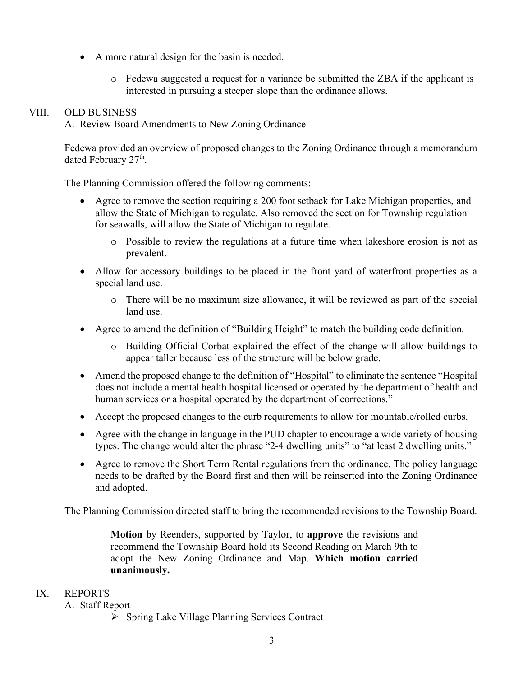- A more natural design for the basin is needed.
	- o Fedewa suggested a request for a variance be submitted the ZBA if the applicant is interested in pursuing a steeper slope than the ordinance allows.

## VIII. OLD BUSINESS

## A. Review Board Amendments to New Zoning Ordinance

Fedewa provided an overview of proposed changes to the Zoning Ordinance through a memorandum dated February 27<sup>th</sup>.

The Planning Commission offered the following comments:

- Agree to remove the section requiring a 200 foot setback for Lake Michigan properties, and allow the State of Michigan to regulate. Also removed the section for Township regulation for seawalls, will allow the State of Michigan to regulate.
	- o Possible to review the regulations at a future time when lakeshore erosion is not as prevalent.
- Allow for accessory buildings to be placed in the front yard of waterfront properties as a special land use.
	- o There will be no maximum size allowance, it will be reviewed as part of the special land use.
- Agree to amend the definition of "Building Height" to match the building code definition.
	- o Building Official Corbat explained the effect of the change will allow buildings to appear taller because less of the structure will be below grade.
- Amend the proposed change to the definition of "Hospital" to eliminate the sentence "Hospital" does not include a mental health hospital licensed or operated by the department of health and human services or a hospital operated by the department of corrections."
- Accept the proposed changes to the curb requirements to allow for mountable/rolled curbs.
- Agree with the change in language in the PUD chapter to encourage a wide variety of housing types. The change would alter the phrase "2-4 dwelling units" to "at least 2 dwelling units."
- Agree to remove the Short Term Rental regulations from the ordinance. The policy language needs to be drafted by the Board first and then will be reinserted into the Zoning Ordinance and adopted.

The Planning Commission directed staff to bring the recommended revisions to the Township Board.

**Motion** by Reenders, supported by Taylor, to **approve** the revisions and recommend the Township Board hold its Second Reading on March 9th to adopt the New Zoning Ordinance and Map. **Which motion carried unanimously.**

# IX. REPORTS

- A. Staff Report
	- Spring Lake Village Planning Services Contract